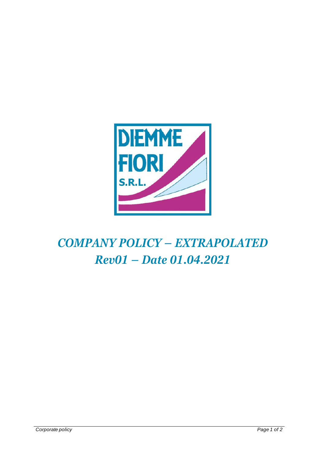

# *COMPANY POLICY – EXTRAPOLATED Rev01 – Date 01.04.2021*